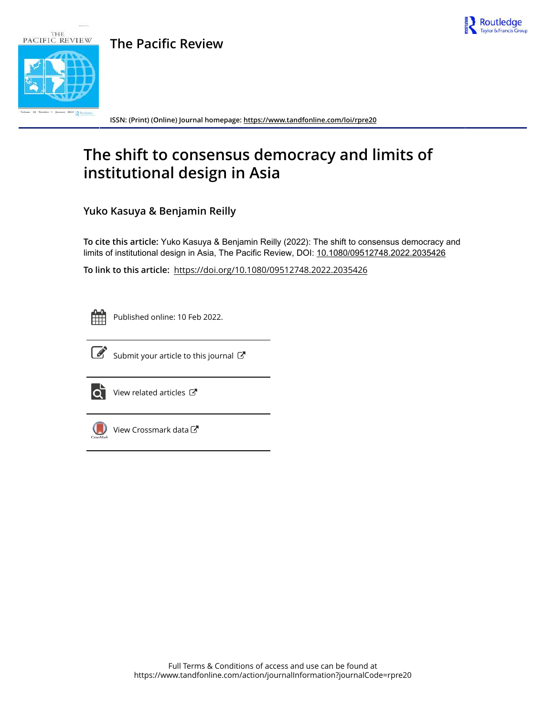

# **The Pacific Review**



**ISSN: (Print) (Online) Journal homepage:<https://www.tandfonline.com/loi/rpre20>**

# **The shift to consensus democracy and limits of institutional design in Asia**

**Yuko Kasuya & Benjamin Reilly**

**To cite this article:** Yuko Kasuya & Benjamin Reilly (2022): The shift to consensus democracy and limits of institutional design in Asia, The Pacific Review, DOI: [10.1080/09512748.2022.2035426](https://www.tandfonline.com/action/showCitFormats?doi=10.1080/09512748.2022.2035426)

**To link to this article:** <https://doi.org/10.1080/09512748.2022.2035426>



Published online: 10 Feb 2022.



 $\overline{\mathscr{L}}$  [Submit your article to this journal](https://www.tandfonline.com/action/authorSubmission?journalCode=rpre20&show=instructions)  $\overline{\mathscr{L}}$ 



 $\overrightarrow{Q}$  [View related articles](https://www.tandfonline.com/doi/mlt/10.1080/09512748.2022.2035426)  $\overrightarrow{C}$ 



[View Crossmark data](http://crossmark.crossref.org/dialog/?doi=10.1080/09512748.2022.2035426&domain=pdf&date_stamp=2022-02-10)<sup>cy</sup>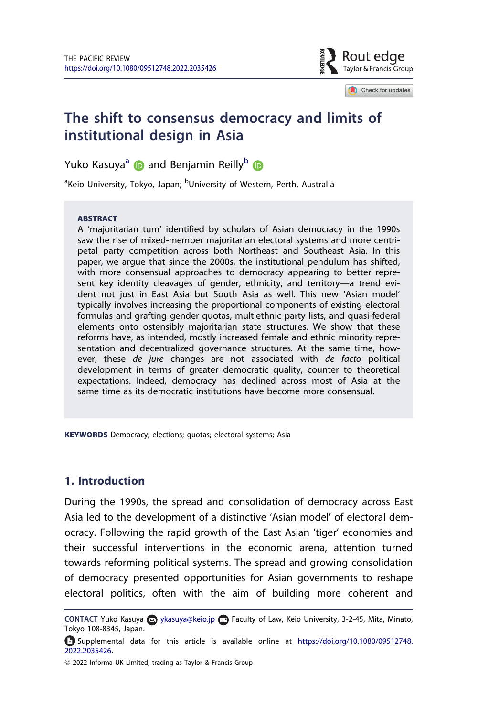

Check for updates

# The shift to consensus democracy and limits of institutional design in Asia

Yuko Kasuya<sup>a</sup> **D** and Benjamin Reilly<sup>b</sup> **D** 

<sup>a</sup>Keio University, Tokyo, Japan; <sup>b</sup>University of Western, Perth, Australia

#### **ABSTRACT**

A 'majoritarian turn' identified by scholars of Asian democracy in the 1990s saw the rise of mixed-member majoritarian electoral systems and more centripetal party competition across both Northeast and Southeast Asia. In this paper, we argue that since the 2000s, the institutional pendulum has shifted, with more consensual approaches to democracy appearing to better represent key identity cleavages of gender, ethnicity, and territory—a trend evident not just in East Asia but South Asia as well. This new 'Asian model' typically involves increasing the proportional components of existing electoral formulas and grafting gender quotas, multiethnic party lists, and quasi-federal elements onto ostensibly majoritarian state structures. We show that these reforms have, as intended, mostly increased female and ethnic minority representation and decentralized governance structures. At the same time, however, these de jure changes are not associated with de facto political development in terms of greater democratic quality, counter to theoretical expectations. Indeed, democracy has declined across most of Asia at the same time as its democratic institutions have become more consensual.

KEYWORDS Democracy; elections; quotas; electoral systems; Asia

# 1. Introduction

During the 1990s, the spread and consolidation of democracy across East Asia led to the development of a distinctive 'Asian model' of electoral democracy. Following the rapid growth of the East Asian 'tiger' economies and their successful interventions in the economic arena, attention turned towards reforming political systems. The spread and growing consolidation of democracy presented opportunities for Asian governments to reshape electoral politics, often with the aim of building more coherent and

CONTACT Yuko Kasuya a ykasuya@keio.jp **Faculty of Law, Keio University, 3-2-45, Mita, Minato,** Tokyo 108-8345, Japan.

Supplemental data for this article is available online at [https://doi.org/10.1080/09512748.](https://doi.org/10.1080/09512748.2022.2035426) [2022.2035426](https://doi.org/10.1080/09512748.2022.2035426).

2022 Informa UK Limited, trading as Taylor & Francis Group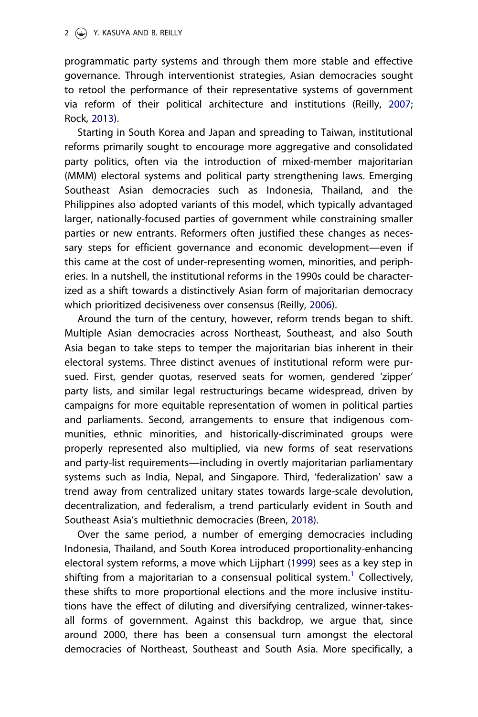#### <span id="page-2-0"></span>2  $\circledcirc$  Y. KASUYA AND B. REILLY

programmatic party systems and through them more stable and effective governance. Through interventionist strategies, Asian democracies sought to retool the performance of their representative systems of government via reform of their political architecture and institutions (Reilly, [2007](#page-27-0); Rock, [2013](#page-27-0)).

Starting in South Korea and Japan and spreading to Taiwan, institutional reforms primarily sought to encourage more aggregative and consolidated party politics, often via the introduction of mixed-member majoritarian (MMM) electoral systems and political party strengthening laws. Emerging Southeast Asian democracies such as Indonesia, Thailand, and the Philippines also adopted variants of this model, which typically advantaged larger, nationally-focused parties of government while constraining smaller parties or new entrants. Reformers often justified these changes as necessary steps for efficient governance and economic development—even if this came at the cost of under-representing women, minorities, and peripheries. In a nutshell, the institutional reforms in the 1990s could be characterized as a shift towards a distinctively Asian form of majoritarian democracy which prioritized decisiveness over consensus (Reilly, [2006](#page-27-0)).

Around the turn of the century, however, reform trends began to shift. Multiple Asian democracies across Northeast, Southeast, and also South Asia began to take steps to temper the majoritarian bias inherent in their electoral systems. Three distinct avenues of institutional reform were pursued. First, gender quotas, reserved seats for women, gendered 'zipper' party lists, and similar legal restructurings became widespread, driven by campaigns for more equitable representation of women in political parties and parliaments. Second, arrangements to ensure that indigenous communities, ethnic minorities, and historically-discriminated groups were properly represented also multiplied, via new forms of seat reservations and party-list requirements—including in overtly majoritarian parliamentary systems such as India, Nepal, and Singapore. Third, 'federalization' saw a trend away from centralized unitary states towards large-scale devolution, decentralization, and federalism, a trend particularly evident in South and Southeast Asia's multiethnic democracies (Breen, [2018](#page-25-0)).

Over the same period, a number of emerging democracies including Indonesia, Thailand, and South Korea introduced proportionality-enhancing electoral system reforms, a move which Lijphart [\(1999\)](#page-26-0) sees as a key step in shifting from a majoritarian to a consensual political system.<sup>1</sup> Collectively, these shifts to more proportional elections and the more inclusive institutions have the effect of diluting and diversifying centralized, winner-takesall forms of government. Against this backdrop, we argue that, since around 2000, there has been a consensual turn amongst the electoral democracies of Northeast, Southeast and South Asia. More specifically, a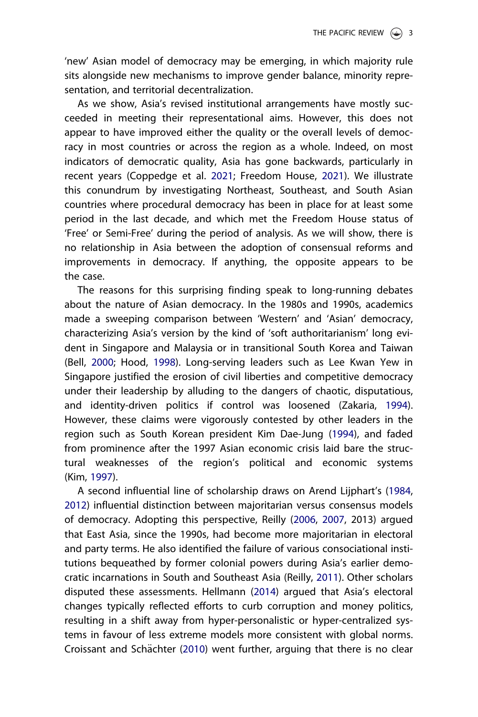<span id="page-3-0"></span>'new' Asian model of democracy may be emerging, in which majority rule sits alongside new mechanisms to improve gender balance, minority representation, and territorial decentralization.

As we show, Asia's revised institutional arrangements have mostly succeeded in meeting their representational aims. However, this does not appear to have improved either the quality or the overall levels of democracy in most countries or across the region as a whole. Indeed, on most indicators of democratic quality, Asia has gone backwards, particularly in recent years (Coppedge et al. [2021](#page-25-0); Freedom House, [2021\)](#page-25-0). We illustrate this conundrum by investigating Northeast, Southeast, and South Asian countries where procedural democracy has been in place for at least some period in the last decade, and which met the Freedom House status of 'Free' or Semi-Free' during the period of analysis. As we will show, there is no relationship in Asia between the adoption of consensual reforms and improvements in democracy. If anything, the opposite appears to be the case.

The reasons for this surprising finding speak to long-running debates about the nature of Asian democracy. In the 1980s and 1990s, academics made a sweeping comparison between 'Western' and 'Asian' democracy, characterizing Asia's version by the kind of 'soft authoritarianism' long evident in Singapore and Malaysia or in transitional South Korea and Taiwan (Bell, [2000](#page-24-0); Hood, [1998](#page-25-0)). Long-serving leaders such as Lee Kwan Yew in Singapore justified the erosion of civil liberties and competitive democracy under their leadership by alluding to the dangers of chaotic, disputatious, and identity-driven politics if control was loosened (Zakaria, [1994\)](#page-27-0). However, these claims were vigorously contested by other leaders in the region such as South Korean president Kim Dae-Jung [\(1994\)](#page-26-0), and faded from prominence after the 1997 Asian economic crisis laid bare the structural weaknesses of the region's political and economic systems (Kim, [1997](#page-26-0)).

A second influential line of scholarship draws on Arend Lijphart's ([1984](#page-26-0), [2012](#page-26-0)) influential distinction between majoritarian versus consensus models of democracy. Adopting this perspective, Reilly ([2006](#page-27-0), [2007,](#page-27-0) 2013) argued that East Asia, since the 1990s, had become more majoritarian in electoral and party terms. He also identified the failure of various consociational institutions bequeathed by former colonial powers during Asia's earlier democratic incarnations in South and Southeast Asia (Reilly, [2011\)](#page-27-0). Other scholars disputed these assessments. Hellmann ([2014](#page-25-0)) argued that Asia's electoral changes typically reflected efforts to curb corruption and money politics, resulting in a shift away from hyper-personalistic or hyper-centralized systems in favour of less extreme models more consistent with global norms. Croissant and Schächter [\(2010\)](#page-25-0) went further, arguing that there is no clear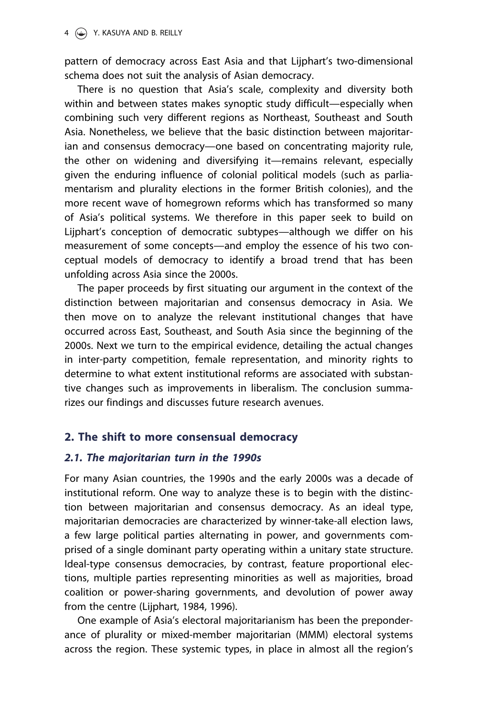pattern of democracy across East Asia and that Lijphart's two-dimensional schema does not suit the analysis of Asian democracy.

There is no question that Asia's scale, complexity and diversity both within and between states makes synoptic study difficult—especially when combining such very different regions as Northeast, Southeast and South Asia. Nonetheless, we believe that the basic distinction between majoritarian and consensus democracy—one based on concentrating majority rule, the other on widening and diversifying it—remains relevant, especially given the enduring influence of colonial political models (such as parliamentarism and plurality elections in the former British colonies), and the more recent wave of homegrown reforms which has transformed so many of Asia's political systems. We therefore in this paper seek to build on Lijphart's conception of democratic subtypes—although we differ on his measurement of some concepts—and employ the essence of his two conceptual models of democracy to identify a broad trend that has been unfolding across Asia since the 2000s.

The paper proceeds by first situating our argument in the context of the distinction between majoritarian and consensus democracy in Asia. We then move on to analyze the relevant institutional changes that have occurred across East, Southeast, and South Asia since the beginning of the 2000s. Next we turn to the empirical evidence, detailing the actual changes in inter-party competition, female representation, and minority rights to determine to what extent institutional reforms are associated with substantive changes such as improvements in liberalism. The conclusion summarizes our findings and discusses future research avenues.

# 2. The shift to more consensual democracy

# 2.1. The majoritarian turn in the 1990s

For many Asian countries, the 1990s and the early 2000s was a decade of institutional reform. One way to analyze these is to begin with the distinction between majoritarian and consensus democracy. As an ideal type, majoritarian democracies are characterized by winner-take-all election laws, a few large political parties alternating in power, and governments comprised of a single dominant party operating within a unitary state structure. Ideal-type consensus democracies, by contrast, feature proportional elections, multiple parties representing minorities as well as majorities, broad coalition or power-sharing governments, and devolution of power away from the centre (Lijphart, 1984, 1996).

One example of Asia's electoral majoritarianism has been the preponderance of plurality or mixed-member majoritarian (MMM) electoral systems across the region. These systemic types, in place in almost all the region's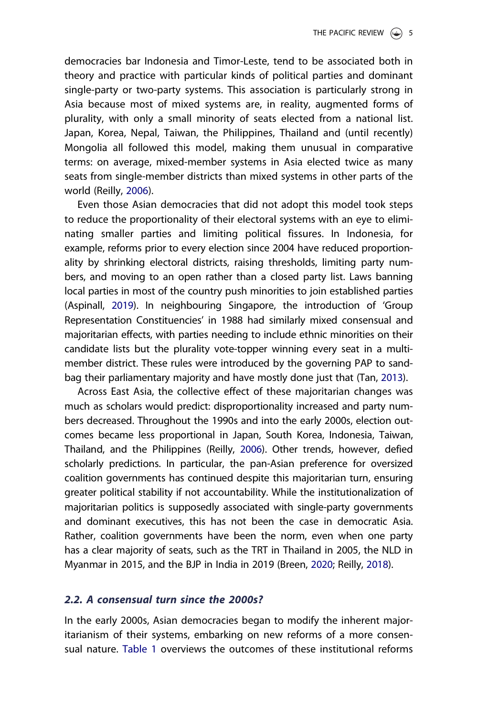<span id="page-5-0"></span>democracies bar Indonesia and Timor-Leste, tend to be associated both in theory and practice with particular kinds of political parties and dominant single-party or two-party systems. This association is particularly strong in Asia because most of mixed systems are, in reality, augmented forms of plurality, with only a small minority of seats elected from a national list. Japan, Korea, Nepal, Taiwan, the Philippines, Thailand and (until recently) Mongolia all followed this model, making them unusual in comparative terms: on average, mixed-member systems in Asia elected twice as many seats from single-member districts than mixed systems in other parts of the world (Reilly, [2006](#page-27-0)).

Even those Asian democracies that did not adopt this model took steps to reduce the proportionality of their electoral systems with an eye to eliminating smaller parties and limiting political fissures. In Indonesia, for example, reforms prior to every election since 2004 have reduced proportionality by shrinking electoral districts, raising thresholds, limiting party numbers, and moving to an open rather than a closed party list. Laws banning local parties in most of the country push minorities to join established parties (Aspinall, [2019](#page-24-0)). In neighbouring Singapore, the introduction of 'Group Representation Constituencies' in 1988 had similarly mixed consensual and majoritarian effects, with parties needing to include ethnic minorities on their candidate lists but the plurality vote-topper winning every seat in a multimember district. These rules were introduced by the governing PAP to sandbag their parliamentary majority and have mostly done just that (Tan, [2013\)](#page-27-0).

Across East Asia, the collective effect of these majoritarian changes was much as scholars would predict: disproportionality increased and party numbers decreased. Throughout the 1990s and into the early 2000s, election outcomes became less proportional in Japan, South Korea, Indonesia, Taiwan, Thailand, and the Philippines (Reilly, [2006](#page-27-0)). Other trends, however, defied scholarly predictions. In particular, the pan-Asian preference for oversized coalition governments has continued despite this majoritarian turn, ensuring greater political stability if not accountability. While the institutionalization of majoritarian politics is supposedly associated with single-party governments and dominant executives, this has not been the case in democratic Asia. Rather, coalition governments have been the norm, even when one party has a clear majority of seats, such as the TRT in Thailand in 2005, the NLD in Myanmar in 2015, and the BJP in India in 2019 (Breen, [2020](#page-25-0); Reilly, [2018](#page-27-0)).

# 2.2. A consensual turn since the 2000s?

In the early 2000s, Asian democracies began to modify the inherent majoritarianism of their systems, embarking on new reforms of a more consensual nature. [Table 1](#page-6-0) overviews the outcomes of these institutional reforms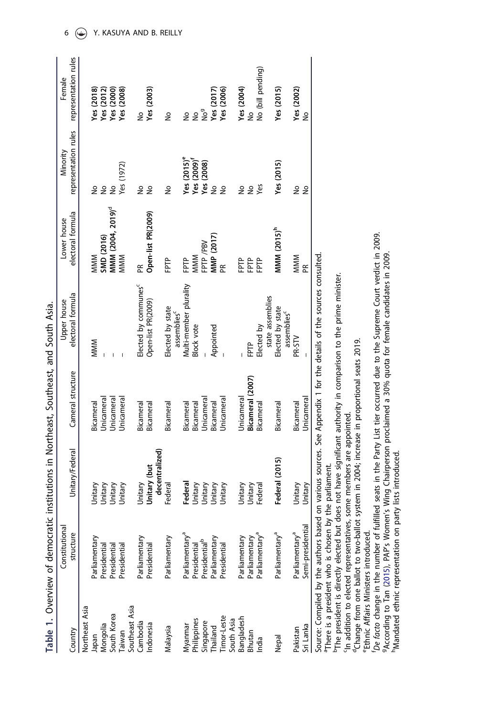<span id="page-6-0"></span>

|                                      | Constitutional                              |                 |                   | Upper house                                 | Lower house                   | Minority                  | Female               |
|--------------------------------------|---------------------------------------------|-----------------|-------------------|---------------------------------------------|-------------------------------|---------------------------|----------------------|
| Country                              | ture<br>struct                              | Unitary/Federal | Cameral structure | electoral formula                           | electoral formula             | representation rules      | representation rules |
| Northeast Asia                       |                                             |                 |                   |                                             |                               |                           |                      |
| Japan                                | Parliamentary                               | Unitary         | Bicameral         | <b>MMM</b>                                  | <b>MMM</b>                    | ş                         | Yes (2018)           |
|                                      |                                             | Unitary         | <b>Jnicameral</b> |                                             | SMD (2016)                    | $\epsilon$                | Yes (2012)           |
| Mongolia<br>South Korea              | Presidential<br>Presidential                | Unitary         | <b>Jnicameral</b> |                                             | MMM (2004, 2019) <sup>d</sup> | $\frac{1}{2}$             | Yes (2000)           |
|                                      | Presidential                                | Unitary         | <b>Jnicameral</b> |                                             | <b>MMM</b>                    | Yes (1972)                | Yes (2008)           |
|                                      |                                             |                 |                   |                                             |                               |                           |                      |
| Taiwan<br>Southeast Asia<br>Cambodia | Parliamentary                               | Jnitary         | Bicameral         | Elected by communes                         | Æ                             | ş                         | å                    |
| ndonesia                             | Presidential                                | Unitary (but    | Bicameral         | Open-list PR(2009)                          | Open-list PR(2009)            | $\frac{1}{2}$             | Yes $(2003)$         |
|                                      |                                             | decentralized)  |                   |                                             |                               |                           |                      |
| Malaysia                             | Parliamentary                               | Federal         | Bicameral         | Elected by state<br>assemblies <sup>c</sup> | FPTP                          | ş                         | ş                    |
| Myanmar                              | Parliamentary <sup>a</sup>                  | Federal         | Bicameral         | Multi-member plurality                      | È                             | Yes $(2015)$ <sup>e</sup> | $\tilde{z}$          |
| Philippines                          | Presidential                                | Unitary         | Bicameral         | Block vote                                  | <b>MMM</b>                    | Yes $(2009)^t$            | $\tilde{z}$          |
|                                      | $\overline{a}$                              | Unitary         | <b>Jnicameral</b> |                                             | <b>PTP /PBV</b>               | Yes (2008)                | No <sup>g</sup>      |
| Singapore<br>Thailand                | Presidential <sup>p</sup><br>Parliamentary  | Unitary         | Bicameral         | Appointed                                   | MMP (2017)                    | 22                        | Yes (2017)           |
| imor-Leste                           | Presidential                                | Unitary         | Unicameral        |                                             | Æ                             |                           | Yes (2006)           |
| South Asia<br>Bangladesh             |                                             |                 |                   |                                             |                               |                           |                      |
|                                      | Parliamentary                               | Unitary         | Unicameral        |                                             | 운<br>도                        |                           | Yes $(2004)$         |
| Bhutan                               |                                             | Unitary         | Bicameral (2007)  | FPTP                                        |                               | e e                       | ş                    |
| India                                | Parliamentary<br>Parliamentary <sup>a</sup> | Federal         | Bicameral         | Elected by                                  | 읍                             | Yes                       | No (bill pending)    |
|                                      |                                             |                 |                   | state assemblies                            |                               |                           |                      |
| Nepal                                | Parliamentary <sup>a</sup>                  | Federal (2015)  | Bicameral         | Elected by state<br>assemblies <sup>c</sup> | MMM (2015) <sup>n</sup>       | Yes (2015)                | Yes $(2015)$         |
| Pakistan                             | Parliamentary <sup>a</sup>                  | Unitary         | Bicameral         | PR-STV                                      | <b>MMM</b>                    | ş                         | Yes (2002)           |
| Sri Lanka                            | dential<br>Semi-presio                      | Unitary         | Unicameral        |                                             | Æ                             | ş                         | ş                    |
|                                      |                                             |                 |                   |                                             |                               |                           |                      |

Table 1. Overview of democratic institutions in Northeast, Southeast, and South Asia. Table 1. Overview of democratic institutions in Northeast, Southeast, and South Asia.

Source: Compiled by the authors based on various sources. See Appendix 1 for the details of the sources consulted. Source: Compiled by the authors based on various sources. See Appendix 1 for the details of the sources consulted.

<sup>a</sup>There is a president who is chosen by the parliament. aThere is a president who is chosen by the parliament.

<sup>b</sup>The president is directly elected but does not have significant authority in comparison to the prime minister. bThe president is directly elected but does not have significant authority in comparison to the prime minister.

<sup>c</sup>In addition to elected representatives, some members are appointed. cIn addition to elected representatives, some members are appointed.

<sup>d</sup>Change from one ballot to two-ballot system in 2004; increase in proportional seats 2019. dChange from one ballot to two-ballot system in 2004; increase in proportional seats 2019.

<sup>e</sup>Ethnic Affairs Ministers introduced. eEthnic Affairs Ministers introduced.

De facto change in the number of fulfilled seats in the Party List tier occurred due to the Supreme Court verdict in 2009. De facto change in the number of fulfilled seats in the Party List tier occurred due to the Supreme Court verdict in 2009.<br><sup>9</sup>According to Tan ([2015](#page-27-0)), PAP's Women's Wing Chairperson proclaimed a 30% quota for female candid ''According to Tan (2015), PAP's Women's Wing Chairperson proclaimed a 30% quota for female candidates in 2009.<br>"Mandated ethnic representation on party lists introduced.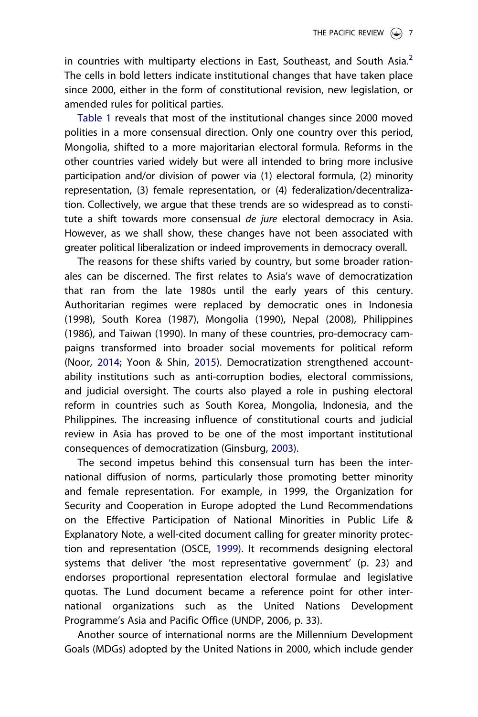<span id="page-7-0"></span>in countries with multiparty elections in East, Southeast, and South Asia. $<sup>2</sup>$  $<sup>2</sup>$  $<sup>2</sup>$ </sup> The cells in bold letters indicate institutional changes that have taken place since 2000, either in the form of constitutional revision, new legislation, or amended rules for political parties.

[Table 1](#page-6-0) reveals that most of the institutional changes since 2000 moved polities in a more consensual direction. Only one country over this period, Mongolia, shifted to a more majoritarian electoral formula. Reforms in the other countries varied widely but were all intended to bring more inclusive participation and/or division of power via (1) electoral formula, (2) minority representation, (3) female representation, or (4) federalization/decentralization. Collectively, we argue that these trends are so widespread as to constitute a shift towards more consensual *de jure* electoral democracy in Asia. However, as we shall show, these changes have not been associated with greater political liberalization or indeed improvements in democracy overall.

The reasons for these shifts varied by country, but some broader rationales can be discerned. The first relates to Asia's wave of democratization that ran from the late 1980s until the early years of this century. Authoritarian regimes were replaced by democratic ones in Indonesia (1998), South Korea (1987), Mongolia (1990), Nepal (2008), Philippines (1986), and Taiwan (1990). In many of these countries, pro-democracy campaigns transformed into broader social movements for political reform (Noor, [2014;](#page-26-0) Yoon & Shin, [2015](#page-27-0)). Democratization strengthened accountability institutions such as anti-corruption bodies, electoral commissions, and judicial oversight. The courts also played a role in pushing electoral reform in countries such as South Korea, Mongolia, Indonesia, and the Philippines. The increasing influence of constitutional courts and judicial review in Asia has proved to be one of the most important institutional consequences of democratization (Ginsburg, [2003\)](#page-25-0).

The second impetus behind this consensual turn has been the international diffusion of norms, particularly those promoting better minority and female representation. For example, in 1999, the Organization for Security and Cooperation in Europe adopted the Lund Recommendations on the Effective Participation of National Minorities in Public Life & Explanatory Note, a well-cited document calling for greater minority protection and representation (OSCE, [1999\)](#page-26-0). It recommends designing electoral systems that deliver 'the most representative government' (p. 23) and endorses proportional representation electoral formulae and legislative quotas. The Lund document became a reference point for other international organizations such as the United Nations Development Programme's Asia and Pacific Office (UNDP, 2006, p. 33).

Another source of international norms are the Millennium Development Goals (MDGs) adopted by the United Nations in 2000, which include gender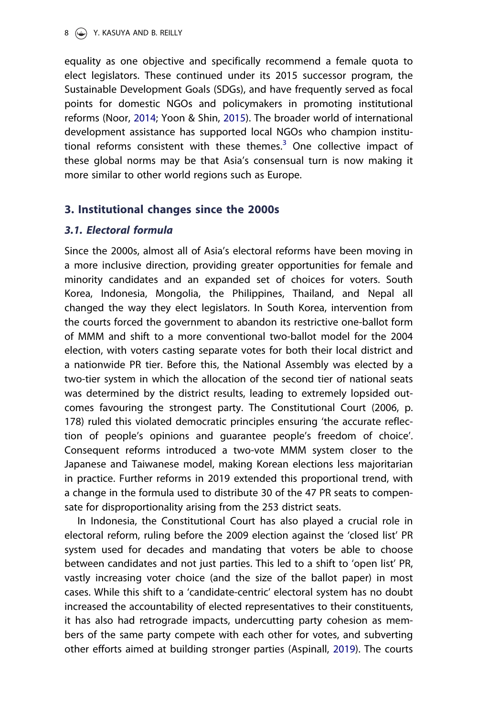<span id="page-8-0"></span>equality as one objective and specifically recommend a female quota to elect legislators. These continued under its 2015 successor program, the Sustainable Development Goals (SDGs), and have frequently served as focal points for domestic NGOs and policymakers in promoting institutional reforms (Noor, [2014](#page-26-0); Yoon & Shin, [2015](#page-27-0)). The broader world of international development assistance has supported local NGOs who champion institutional reforms consistent with these themes. $3$  One collective impact of these global norms may be that Asia's consensual turn is now making it more similar to other world regions such as Europe.

# 3. Institutional changes since the 2000s

# 3.1. Electoral formula

Since the 2000s, almost all of Asia's electoral reforms have been moving in a more inclusive direction, providing greater opportunities for female and minority candidates and an expanded set of choices for voters. South Korea, Indonesia, Mongolia, the Philippines, Thailand, and Nepal all changed the way they elect legislators. In South Korea, intervention from the courts forced the government to abandon its restrictive one-ballot form of MMM and shift to a more conventional two-ballot model for the 2004 election, with voters casting separate votes for both their local district and a nationwide PR tier. Before this, the National Assembly was elected by a two-tier system in which the allocation of the second tier of national seats was determined by the district results, leading to extremely lopsided outcomes favouring the strongest party. The Constitutional Court (2006, p. 178) ruled this violated democratic principles ensuring 'the accurate reflection of people's opinions and guarantee people's freedom of choice'. Consequent reforms introduced a two-vote MMM system closer to the Japanese and Taiwanese model, making Korean elections less majoritarian in practice. Further reforms in 2019 extended this proportional trend, with a change in the formula used to distribute 30 of the 47 PR seats to compensate for disproportionality arising from the 253 district seats.

In Indonesia, the Constitutional Court has also played a crucial role in electoral reform, ruling before the 2009 election against the 'closed list' PR system used for decades and mandating that voters be able to choose between candidates and not just parties. This led to a shift to 'open list' PR, vastly increasing voter choice (and the size of the ballot paper) in most cases. While this shift to a 'candidate-centric' electoral system has no doubt increased the accountability of elected representatives to their constituents, it has also had retrograde impacts, undercutting party cohesion as members of the same party compete with each other for votes, and subverting other efforts aimed at building stronger parties (Aspinall, [2019\)](#page-24-0). The courts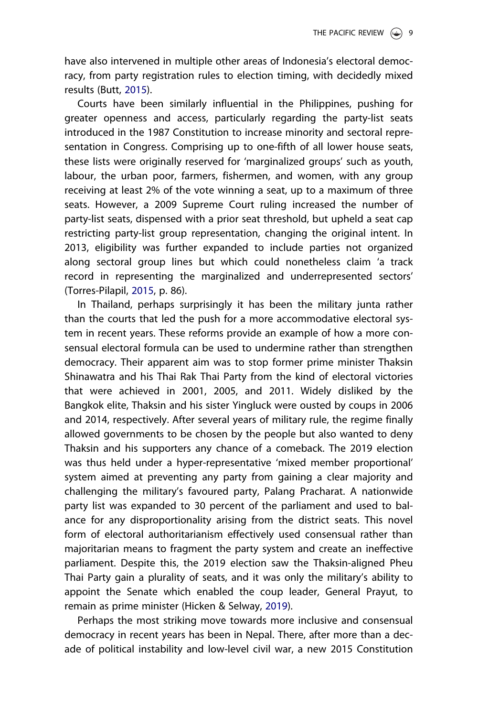<span id="page-9-0"></span>have also intervened in multiple other areas of Indonesia's electoral democracy, from party registration rules to election timing, with decidedly mixed results (Butt, [2015\)](#page-25-0).

Courts have been similarly influential in the Philippines, pushing for greater openness and access, particularly regarding the party-list seats introduced in the 1987 Constitution to increase minority and sectoral representation in Congress. Comprising up to one-fifth of all lower house seats, these lists were originally reserved for 'marginalized groups' such as youth, labour, the urban poor, farmers, fishermen, and women, with any group receiving at least 2% of the vote winning a seat, up to a maximum of three seats. However, a 2009 Supreme Court ruling increased the number of party-list seats, dispensed with a prior seat threshold, but upheld a seat cap restricting party-list group representation, changing the original intent. In 2013, eligibility was further expanded to include parties not organized along sectoral group lines but which could nonetheless claim 'a track record in representing the marginalized and underrepresented sectors' (Torres-Pilapil, [2015](#page-27-0), p. 86).

In Thailand, perhaps surprisingly it has been the military junta rather than the courts that led the push for a more accommodative electoral system in recent years. These reforms provide an example of how a more consensual electoral formula can be used to undermine rather than strengthen democracy. Their apparent aim was to stop former prime minister Thaksin Shinawatra and his Thai Rak Thai Party from the kind of electoral victories that were achieved in 2001, 2005, and 2011. Widely disliked by the Bangkok elite, Thaksin and his sister Yingluck were ousted by coups in 2006 and 2014, respectively. After several years of military rule, the regime finally allowed governments to be chosen by the people but also wanted to deny Thaksin and his supporters any chance of a comeback. The 2019 election was thus held under a hyper-representative 'mixed member proportional' system aimed at preventing any party from gaining a clear majority and challenging the military's favoured party, Palang Pracharat. A nationwide party list was expanded to 30 percent of the parliament and used to balance for any disproportionality arising from the district seats. This novel form of electoral authoritarianism effectively used consensual rather than majoritarian means to fragment the party system and create an ineffective parliament. Despite this, the 2019 election saw the Thaksin-aligned Pheu Thai Party gain a plurality of seats, and it was only the military's ability to appoint the Senate which enabled the coup leader, General Prayut, to remain as prime minister (Hicken & Selway, [2019](#page-25-0)).

Perhaps the most striking move towards more inclusive and consensual democracy in recent years has been in Nepal. There, after more than a decade of political instability and low-level civil war, a new 2015 Constitution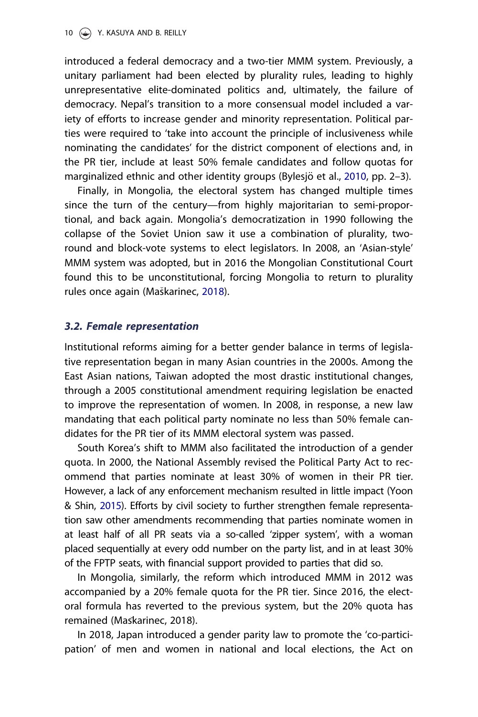<span id="page-10-0"></span>introduced a federal democracy and a two-tier MMM system. Previously, a unitary parliament had been elected by plurality rules, leading to highly unrepresentative elite-dominated politics and, ultimately, the failure of democracy. Nepal's transition to a more consensual model included a variety of efforts to increase gender and minority representation. Political parties were required to 'take into account the principle of inclusiveness while nominating the candidates' for the district component of elections and, in the PR tier, include at least 50% female candidates and follow quotas for marginalized ethnic and other identity groups (Bylesjö et al., [2010](#page-25-0), pp. 2–3).

Finally, in Mongolia, the electoral system has changed multiple times since the turn of the century—from highly majoritarian to semi-proportional, and back again. Mongolia's democratization in 1990 following the collapse of the Soviet Union saw it use a combination of plurality, tworound and block-vote systems to elect legislators. In 2008, an 'Asian-style' MMM system was adopted, but in 2016 the Mongolian Constitutional Court found this to be unconstitutional, forcing Mongolia to return to plurality rules once again (Maškarinec, [2018\)](#page-26-0).

#### 3.2. Female representation

Institutional reforms aiming for a better gender balance in terms of legislative representation began in many Asian countries in the 2000s. Among the East Asian nations, Taiwan adopted the most drastic institutional changes, through a 2005 constitutional amendment requiring legislation be enacted to improve the representation of women. In 2008, in response, a new law mandating that each political party nominate no less than 50% female candidates for the PR tier of its MMM electoral system was passed.

South Korea's shift to MMM also facilitated the introduction of a gender quota. In 2000, the National Assembly revised the Political Party Act to recommend that parties nominate at least 30% of women in their PR tier. However, a lack of any enforcement mechanism resulted in little impact (Yoon & Shin, [2015](#page-27-0)). Efforts by civil society to further strengthen female representation saw other amendments recommending that parties nominate women in at least half of all PR seats via a so-called 'zipper system', with a woman placed sequentially at every odd number on the party list, and in at least 30% of the FPTP seats, with financial support provided to parties that did so.

In Mongolia, similarly, the reform which introduced MMM in 2012 was accompanied by a 20% female quota for the PR tier. Since 2016, the electoral formula has reverted to the previous system, but the 20% quota has remained (Maskarinec, 2018).

In 2018, Japan introduced a gender parity law to promote the 'co-participation' of men and women in national and local elections, the Act on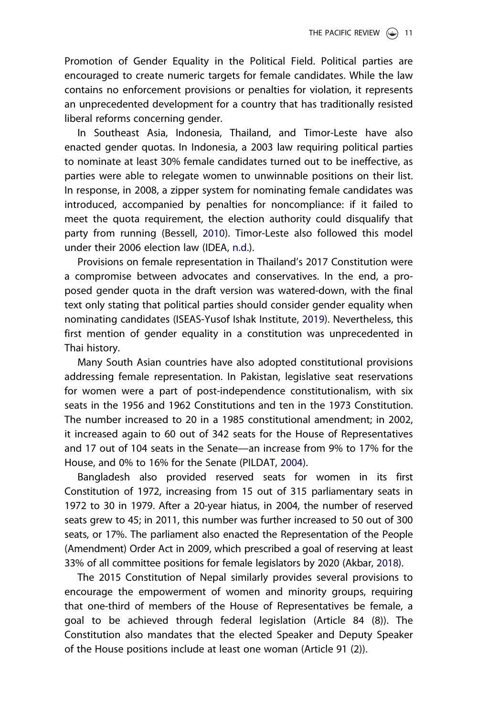<span id="page-11-0"></span>Promotion of Gender Equality in the Political Field. Political parties are encouraged to create numeric targets for female candidates. While the law contains no enforcement provisions or penalties for violation, it represents an unprecedented development for a country that has traditionally resisted liberal reforms concerning gender.

In Southeast Asia, Indonesia, Thailand, and Timor-Leste have also enacted gender quotas. In Indonesia, a 2003 law requiring political parties to nominate at least 30% female candidates turned out to be ineffective, as parties were able to relegate women to unwinnable positions on their list. In response, in 2008, a zipper system for nominating female candidates was introduced, accompanied by penalties for noncompliance: if it failed to meet the quota requirement, the election authority could disqualify that party from running (Bessell, [2010](#page-25-0)). Timor-Leste also followed this model under their 2006 election law (IDEA, [n.d.\)](#page-25-0).

Provisions on female representation in Thailand's 2017 Constitution were a compromise between advocates and conservatives. In the end, a proposed gender quota in the draft version was watered-down, with the final text only stating that political parties should consider gender equality when nominating candidates (ISEAS-Yusof Ishak Institute, [2019](#page-25-0)). Nevertheless, this first mention of gender equality in a constitution was unprecedented in Thai history.

Many South Asian countries have also adopted constitutional provisions addressing female representation. In Pakistan, legislative seat reservations for women were a part of post-independence constitutionalism, with six seats in the 1956 and 1962 Constitutions and ten in the 1973 Constitution. The number increased to 20 in a 1985 constitutional amendment; in 2002, it increased again to 60 out of 342 seats for the House of Representatives and 17 out of 104 seats in the Senate—an increase from 9% to 17% for the House, and 0% to 16% for the Senate (PILDAT, [2004](#page-26-0)).

Bangladesh also provided reserved seats for women in its first Constitution of 1972, increasing from 15 out of 315 parliamentary seats in 1972 to 30 in 1979. After a 20-year hiatus, in 2004, the number of reserved seats grew to 45; in 2011, this number was further increased to 50 out of 300 seats, or 17%. The parliament also enacted the Representation of the People (Amendment) Order Act in 2009, which prescribed a goal of reserving at least 33% of all committee positions for female legislators by 2020 (Akbar, [2018\)](#page-24-0).

The 2015 Constitution of Nepal similarly provides several provisions to encourage the empowerment of women and minority groups, requiring that one-third of members of the House of Representatives be female, a goal to be achieved through federal legislation (Article 84 (8)). The Constitution also mandates that the elected Speaker and Deputy Speaker of the House positions include at least one woman (Article 91 (2)).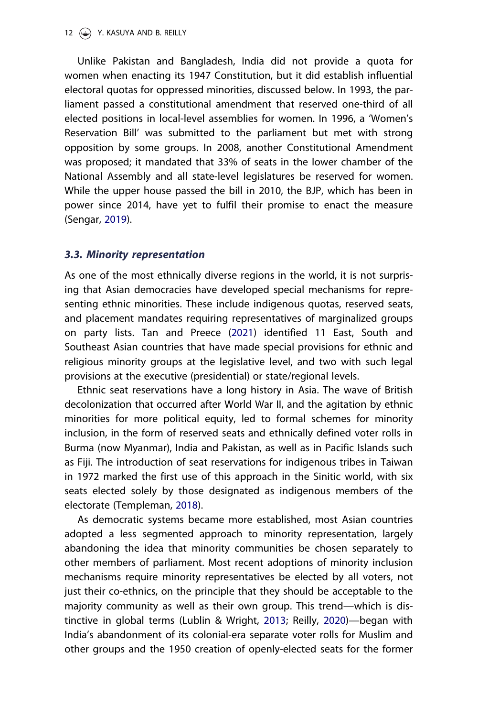#### <span id="page-12-0"></span>12 (C) Y. KASUYA AND B. REILLY

Unlike Pakistan and Bangladesh, India did not provide a quota for women when enacting its 1947 Constitution, but it did establish influential electoral quotas for oppressed minorities, discussed below. In 1993, the parliament passed a constitutional amendment that reserved one-third of all elected positions in local-level assemblies for women. In 1996, a 'Women's Reservation Bill' was submitted to the parliament but met with strong opposition by some groups. In 2008, another Constitutional Amendment was proposed; it mandated that 33% of seats in the lower chamber of the National Assembly and all state-level legislatures be reserved for women. While the upper house passed the bill in 2010, the BJP, which has been in power since 2014, have yet to fulfil their promise to enact the measure (Sengar, [2019](#page-27-0)).

#### 3.3. Minority representation

As one of the most ethnically diverse regions in the world, it is not surprising that Asian democracies have developed special mechanisms for representing ethnic minorities. These include indigenous quotas, reserved seats, and placement mandates requiring representatives of marginalized groups on party lists. Tan and Preece [\(2021\)](#page-27-0) identified 11 East, South and Southeast Asian countries that have made special provisions for ethnic and religious minority groups at the legislative level, and two with such legal provisions at the executive (presidential) or state/regional levels.

Ethnic seat reservations have a long history in Asia. The wave of British decolonization that occurred after World War II, and the agitation by ethnic minorities for more political equity, led to formal schemes for minority inclusion, in the form of reserved seats and ethnically defined voter rolls in Burma (now Myanmar), India and Pakistan, as well as in Pacific Islands such as Fiji. The introduction of seat reservations for indigenous tribes in Taiwan in 1972 marked the first use of this approach in the Sinitic world, with six seats elected solely by those designated as indigenous members of the electorate (Templeman, [2018](#page-27-0)).

As democratic systems became more established, most Asian countries adopted a less segmented approach to minority representation, largely abandoning the idea that minority communities be chosen separately to other members of parliament. Most recent adoptions of minority inclusion mechanisms require minority representatives be elected by all voters, not just their co-ethnics, on the principle that they should be acceptable to the majority community as well as their own group. This trend—which is distinctive in global terms (Lublin & Wright, [2013;](#page-26-0) Reilly, [2020](#page-27-0))—began with India's abandonment of its colonial-era separate voter rolls for Muslim and other groups and the 1950 creation of openly-elected seats for the former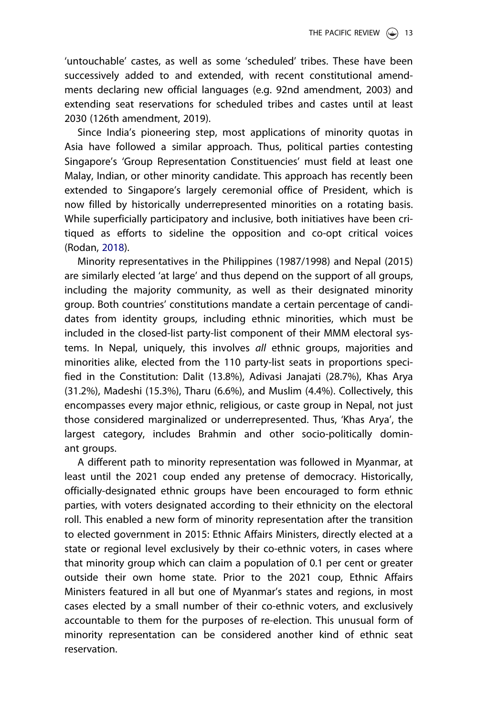<span id="page-13-0"></span>'untouchable' castes, as well as some 'scheduled' tribes. These have been successively added to and extended, with recent constitutional amendments declaring new official languages (e.g. 92nd amendment, 2003) and extending seat reservations for scheduled tribes and castes until at least 2030 (126th amendment, 2019).

Since India's pioneering step, most applications of minority quotas in Asia have followed a similar approach. Thus, political parties contesting Singapore's 'Group Representation Constituencies' must field at least one Malay, Indian, or other minority candidate. This approach has recently been extended to Singapore's largely ceremonial office of President, which is now filled by historically underrepresented minorities on a rotating basis. While superficially participatory and inclusive, both initiatives have been critiqued as efforts to sideline the opposition and co-opt critical voices (Rodan, [2018\)](#page-27-0).

Minority representatives in the Philippines (1987/1998) and Nepal (2015) are similarly elected 'at large' and thus depend on the support of all groups, including the majority community, as well as their designated minority group. Both countries' constitutions mandate a certain percentage of candidates from identity groups, including ethnic minorities, which must be included in the closed-list party-list component of their MMM electoral systems. In Nepal, uniquely, this involves all ethnic groups, majorities and minorities alike, elected from the 110 party-list seats in proportions specified in the Constitution: Dalit (13.8%), Adivasi Janajati (28.7%), Khas Arya (31.2%), Madeshi (15.3%), Tharu (6.6%), and Muslim (4.4%). Collectively, this encompasses every major ethnic, religious, or caste group in Nepal, not just those considered marginalized or underrepresented. Thus, 'Khas Arya', the largest category, includes Brahmin and other socio-politically dominant groups.

A different path to minority representation was followed in Myanmar, at least until the 2021 coup ended any pretense of democracy. Historically, officially-designated ethnic groups have been encouraged to form ethnic parties, with voters designated according to their ethnicity on the electoral roll. This enabled a new form of minority representation after the transition to elected government in 2015: Ethnic Affairs Ministers, directly elected at a state or regional level exclusively by their co-ethnic voters, in cases where that minority group which can claim a population of 0.1 per cent or greater outside their own home state. Prior to the 2021 coup, Ethnic Affairs Ministers featured in all but one of Myanmar's states and regions, in most cases elected by a small number of their co-ethnic voters, and exclusively accountable to them for the purposes of re-election. This unusual form of minority representation can be considered another kind of ethnic seat reservation.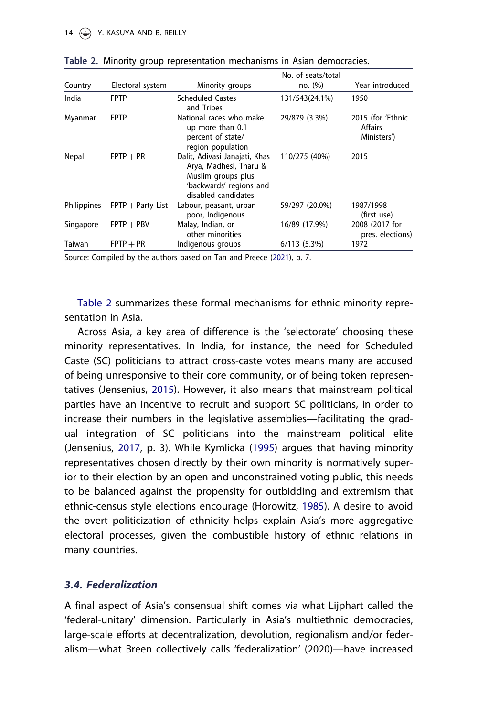| Country            | Electoral system    | Minority groups                                                                                                                 | No. of seats/total<br>no. (%) | Year introduced                             |
|--------------------|---------------------|---------------------------------------------------------------------------------------------------------------------------------|-------------------------------|---------------------------------------------|
| India              | <b>FPTP</b>         | <b>Scheduled Castes</b><br>and Tribes                                                                                           | 131/543(24.1%)                | 1950                                        |
| Myanmar            | <b>FPTP</b>         | National races who make<br>up more than 0.1<br>percent of state/<br>region population                                           | 29/879 (3.3%)                 | 2015 (for 'Ethnic<br>Affairs<br>Ministers') |
| Nepal              | $FPTP + PR$         | Dalit, Adivasi Janajati, Khas<br>Arya, Madhesi, Tharu &<br>Muslim groups plus<br>'backwards' regions and<br>disabled candidates | 110/275 (40%)                 | 2015                                        |
| <b>Philippines</b> | $FPTP + Party$ List | Labour, peasant, urban<br>poor, Indigenous                                                                                      | 59/297 (20.0%)                | 1987/1998<br>(first use)                    |
| Singapore          | $FPTP + PBV$        | Malay, Indian, or<br>other minorities                                                                                           | 16/89 (17.9%)                 | 2008 (2017 for<br>pres. elections)          |
| Taiwan             | $FPTP + PR$         | Indigenous groups                                                                                                               | 6/113(5.3%)                   | 1972                                        |

<span id="page-14-0"></span>Table 2. Minority group representation mechanisms in Asian democracies.

Source: Compiled by the authors based on Tan and Preece ([2021\)](#page-27-0), p. 7.

Table 2 summarizes these formal mechanisms for ethnic minority representation in Asia.

Across Asia, a key area of difference is the 'selectorate' choosing these minority representatives. In India, for instance, the need for Scheduled Caste (SC) politicians to attract cross-caste votes means many are accused of being unresponsive to their core community, or of being token representatives (Jensenius, [2015](#page-25-0)). However, it also means that mainstream political parties have an incentive to recruit and support SC politicians, in order to increase their numbers in the legislative assemblies—facilitating the gradual integration of SC politicians into the mainstream political elite (Jensenius, [2017,](#page-25-0) p. 3). While Kymlicka ([1995](#page-26-0)) argues that having minority representatives chosen directly by their own minority is normatively superior to their election by an open and unconstrained voting public, this needs to be balanced against the propensity for outbidding and extremism that ethnic-census style elections encourage (Horowitz, [1985](#page-25-0)). A desire to avoid the overt politicization of ethnicity helps explain Asia's more aggregative electoral processes, given the combustible history of ethnic relations in many countries.

# 3.4. Federalization

A final aspect of Asia's consensual shift comes via what Lijphart called the 'federal-unitary' dimension. Particularly in Asia's multiethnic democracies, large-scale efforts at decentralization, devolution, regionalism and/or federalism—what Breen collectively calls 'federalization' (2020)—have increased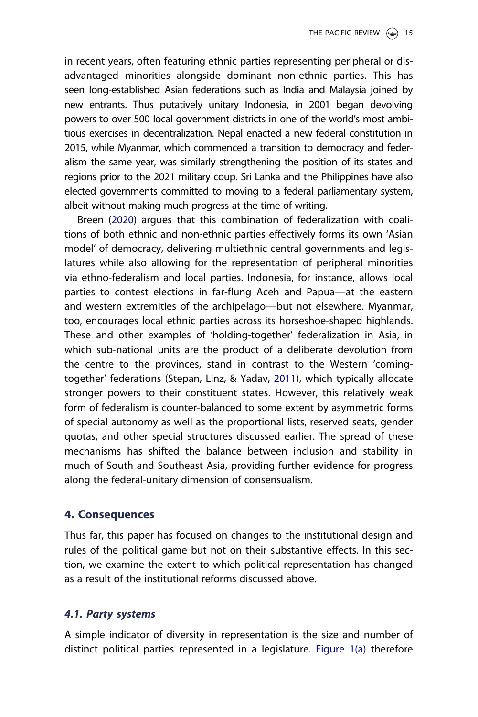<span id="page-15-0"></span>in recent years, often featuring ethnic parties representing peripheral or disadvantaged minorities alongside dominant non-ethnic parties. This has seen long-established Asian federations such as India and Malaysia joined by new entrants. Thus putatively unitary Indonesia, in 2001 began devolving powers to over 500 local government districts in one of the world's most ambitious exercises in decentralization. Nepal enacted a new federal constitution in 2015, while Myanmar, which commenced a transition to democracy and federalism the same year, was similarly strengthening the position of its states and regions prior to the 2021 military coup. Sri Lanka and the Philippines have also elected governments committed to moving to a federal parliamentary system, albeit without making much progress at the time of writing.

Breen [\(2020\)](#page-25-0) argues that this combination of federalization with coalitions of both ethnic and non-ethnic parties effectively forms its own 'Asian model' of democracy, delivering multiethnic central governments and legislatures while also allowing for the representation of peripheral minorities via ethno-federalism and local parties. Indonesia, for instance, allows local parties to contest elections in far-flung Aceh and Papua—at the eastern and western extremities of the archipelago—but not elsewhere. Myanmar, too, encourages local ethnic parties across its horseshoe-shaped highlands. These and other examples of 'holding-together' federalization in Asia, in which sub-national units are the product of a deliberate devolution from the centre to the provinces, stand in contrast to the Western 'comingtogether' federations (Stepan, Linz, & Yadav, [2011](#page-27-0)), which typically allocate stronger powers to their constituent states. However, this relatively weak form of federalism is counter-balanced to some extent by asymmetric forms of special autonomy as well as the proportional lists, reserved seats, gender quotas, and other special structures discussed earlier. The spread of these mechanisms has shifted the balance between inclusion and stability in much of South and Southeast Asia, providing further evidence for progress along the federal-unitary dimension of consensualism.

# 4. Consequences

Thus far, this paper has focused on changes to the institutional design and rules of the political game but not on their substantive effects. In this section, we examine the extent to which political representation has changed as a result of the institutional reforms discussed above.

### 4.1. Party systems

A simple indicator of diversity in representation is the size and number of distinct political parties represented in a legislature. [Figure 1\(a\)](#page-16-0) therefore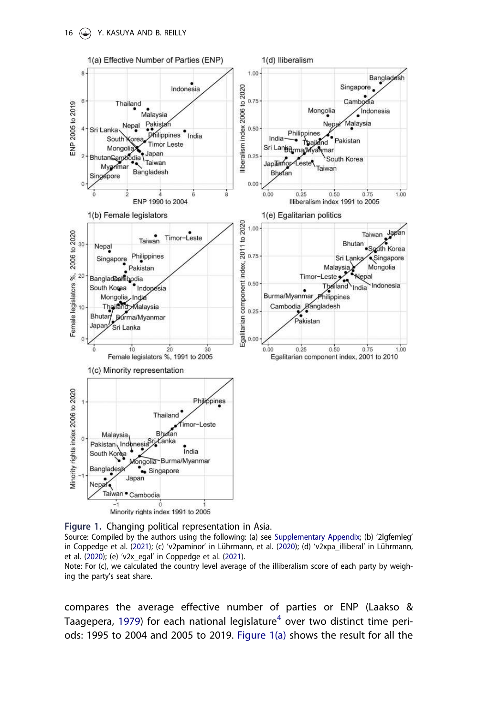<span id="page-16-0"></span>

Figure 1. Changing political representation in Asia.

Source: Compiled by the authors using the following: (a) see [Supplementary Appendix](https://doi.org/10.1080/09512748.2022.2035426); (b) '2lgfemleg' in Coppedge et al. [\(2021\)](#page-25-0); (c) 'v2paminor' in Lührmann, et al. ([2020](#page-26-0)); (d) 'v2xpa\_illiberal' in Lührmann, et al. [\(2020](#page-26-0)); (e) 'v2x\_egal' in Coppedge et al. [\(2021](#page-25-0)).

Note: For (c), we calculated the country level average of the illiberalism score of each party by weighing the party's seat share.

compares the average effective number of parties or ENP (Laakso & Taagepera, [1979\)](#page-26-0) for each national legislature<sup>[4](#page-23-0)</sup> over two distinct time periods: 1995 to 2004 and 2005 to 2019. Figure 1(a) shows the result for all the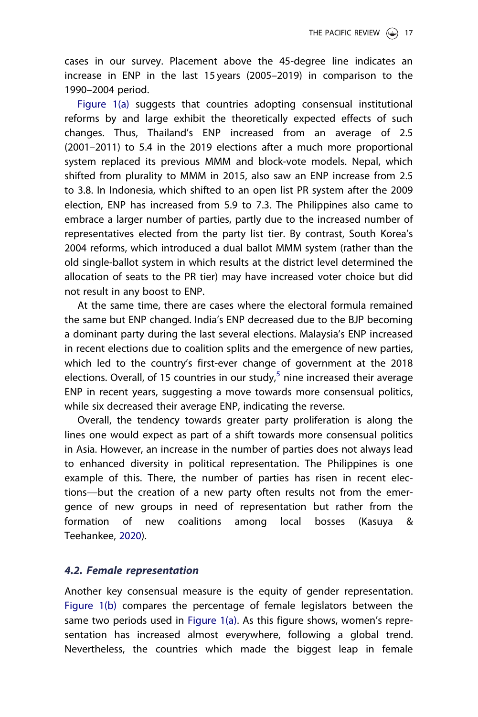<span id="page-17-0"></span>cases in our survey. Placement above the 45-degree line indicates an increase in ENP in the last 15 years (2005–2019) in comparison to the 1990–2004 period.

[Figure 1\(a\)](#page-16-0) suggests that countries adopting consensual institutional reforms by and large exhibit the theoretically expected effects of such changes. Thus, Thailand's ENP increased from an average of 2.5 (2001–2011) to 5.4 in the 2019 elections after a much more proportional system replaced its previous MMM and block-vote models. Nepal, which shifted from plurality to MMM in 2015, also saw an ENP increase from 2.5 to 3.8. In Indonesia, which shifted to an open list PR system after the 2009 election, ENP has increased from 5.9 to 7.3. The Philippines also came to embrace a larger number of parties, partly due to the increased number of representatives elected from the party list tier. By contrast, South Korea's 2004 reforms, which introduced a dual ballot MMM system (rather than the old single-ballot system in which results at the district level determined the allocation of seats to the PR tier) may have increased voter choice but did not result in any boost to ENP.

At the same time, there are cases where the electoral formula remained the same but ENP changed. India's ENP decreased due to the BJP becoming a dominant party during the last several elections. Malaysia's ENP increased in recent elections due to coalition splits and the emergence of new parties, which led to the country's first-ever change of government at the 2018 elections. Overall, of 1[5](#page-23-0) countries in our study, $5$  nine increased their average ENP in recent years, suggesting a move towards more consensual politics, while six decreased their average ENP, indicating the reverse.

Overall, the tendency towards greater party proliferation is along the lines one would expect as part of a shift towards more consensual politics in Asia. However, an increase in the number of parties does not always lead to enhanced diversity in political representation. The Philippines is one example of this. There, the number of parties has risen in recent elections—but the creation of a new party often results not from the emergence of new groups in need of representation but rather from the formation of new coalitions among local bosses (Kasuya & Teehankee, [2020\)](#page-26-0).

### 4.2. Female representation

Another key consensual measure is the equity of gender representation. [Figure 1\(b\)](#page-16-0) compares the percentage of female legislators between the same two periods used in [Figure 1\(a\)](#page-16-0). As this figure shows, women's representation has increased almost everywhere, following a global trend. Nevertheless, the countries which made the biggest leap in female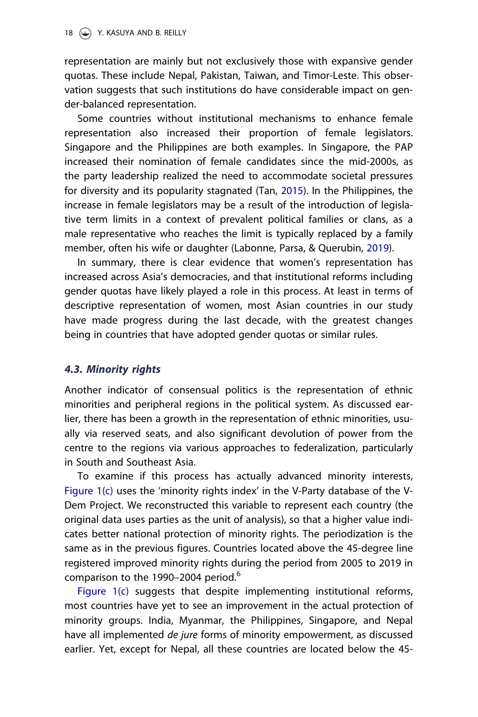<span id="page-18-0"></span>representation are mainly but not exclusively those with expansive gender quotas. These include Nepal, Pakistan, Taiwan, and Timor-Leste. This observation suggests that such institutions do have considerable impact on gender-balanced representation.

Some countries without institutional mechanisms to enhance female representation also increased their proportion of female legislators. Singapore and the Philippines are both examples. In Singapore, the PAP increased their nomination of female candidates since the mid-2000s, as the party leadership realized the need to accommodate societal pressures for diversity and its popularity stagnated (Tan, [2015\)](#page-27-0). In the Philippines, the increase in female legislators may be a result of the introduction of legislative term limits in a context of prevalent political families or clans, as a male representative who reaches the limit is typically replaced by a family member, often his wife or daughter (Labonne, Parsa, & Querubin, [2019](#page-26-0)).

In summary, there is clear evidence that women's representation has increased across Asia's democracies, and that institutional reforms including gender quotas have likely played a role in this process. At least in terms of descriptive representation of women, most Asian countries in our study have made progress during the last decade, with the greatest changes being in countries that have adopted gender quotas or similar rules.

### 4.3. Minority rights

Another indicator of consensual politics is the representation of ethnic minorities and peripheral regions in the political system. As discussed earlier, there has been a growth in the representation of ethnic minorities, usually via reserved seats, and also significant devolution of power from the centre to the regions via various approaches to federalization, particularly in South and Southeast Asia.

To examine if this process has actually advanced minority interests, [Figure 1\(c\)](#page-16-0) uses the 'minority rights index' in the V-Party database of the V-Dem Project. We reconstructed this variable to represent each country (the original data uses parties as the unit of analysis), so that a higher value indicates better national protection of minority rights. The periodization is the same as in the previous figures. Countries located above the 45-degree line registered improved minority rights during the period from 2005 to 2019 in comparison to the 1990–2004 period.<sup>6</sup>

[Figure 1\(c\)](#page-16-0) suggests that despite implementing institutional reforms, most countries have yet to see an improvement in the actual protection of minority groups. India, Myanmar, the Philippines, Singapore, and Nepal have all implemented *de jure* forms of minority empowerment, as discussed earlier. Yet, except for Nepal, all these countries are located below the 45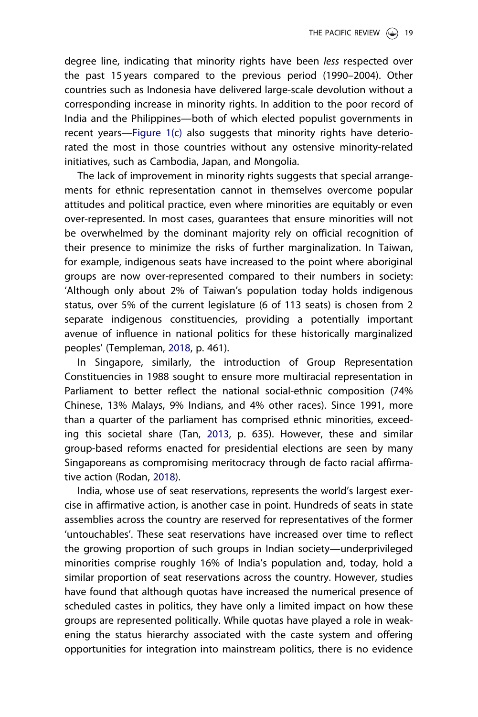degree line, indicating that minority rights have been less respected over the past 15 years compared to the previous period (1990–2004). Other countries such as Indonesia have delivered large-scale devolution without a corresponding increase in minority rights. In addition to the poor record of India and the Philippines—both of which elected populist governments in recent years—[Figure 1\(c\)](#page-16-0) also suggests that minority rights have deteriorated the most in those countries without any ostensive minority-related initiatives, such as Cambodia, Japan, and Mongolia.

The lack of improvement in minority rights suggests that special arrangements for ethnic representation cannot in themselves overcome popular attitudes and political practice, even where minorities are equitably or even over-represented. In most cases, guarantees that ensure minorities will not be overwhelmed by the dominant majority rely on official recognition of their presence to minimize the risks of further marginalization. In Taiwan, for example, indigenous seats have increased to the point where aboriginal groups are now over-represented compared to their numbers in society: 'Although only about 2% of Taiwan's population today holds indigenous status, over 5% of the current legislature (6 of 113 seats) is chosen from 2 separate indigenous constituencies, providing a potentially important avenue of influence in national politics for these historically marginalized peoples' (Templeman, [2018](#page-27-0), p. 461).

In Singapore, similarly, the introduction of Group Representation Constituencies in 1988 sought to ensure more multiracial representation in Parliament to better reflect the national social-ethnic composition (74% Chinese, 13% Malays, 9% Indians, and 4% other races). Since 1991, more than a quarter of the parliament has comprised ethnic minorities, exceeding this societal share (Tan, [2013](#page-27-0), p. 635). However, these and similar group-based reforms enacted for presidential elections are seen by many Singaporeans as compromising meritocracy through de facto racial affirmative action (Rodan, [2018](#page-27-0)).

India, whose use of seat reservations, represents the world's largest exercise in affirmative action, is another case in point. Hundreds of seats in state assemblies across the country are reserved for representatives of the former 'untouchables'. These seat reservations have increased over time to reflect the growing proportion of such groups in Indian society—underprivileged minorities comprise roughly 16% of India's population and, today, hold a similar proportion of seat reservations across the country. However, studies have found that although quotas have increased the numerical presence of scheduled castes in politics, they have only a limited impact on how these groups are represented politically. While quotas have played a role in weakening the status hierarchy associated with the caste system and offering opportunities for integration into mainstream politics, there is no evidence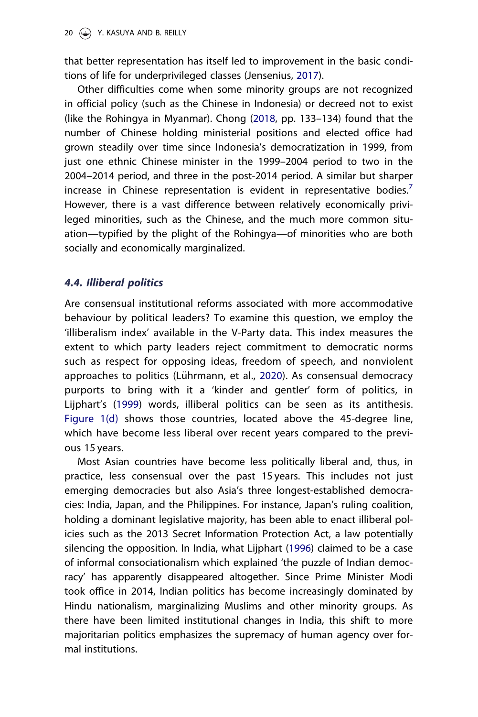<span id="page-20-0"></span>that better representation has itself led to improvement in the basic conditions of life for underprivileged classes (Jensenius, [2017](#page-25-0)).

Other difficulties come when some minority groups are not recognized in official policy (such as the Chinese in Indonesia) or decreed not to exist (like the Rohingya in Myanmar). Chong [\(2018,](#page-25-0) pp. 133–134) found that the number of Chinese holding ministerial positions and elected office had grown steadily over time since Indonesia's democratization in 1999, from just one ethnic Chinese minister in the 1999–2004 period to two in the 2004–2014 period, and three in the post-2014 period. A similar but sharper increase in Chinese representation is evident in representative bodies.<sup>[7](#page-24-0)</sup> However, there is a vast difference between relatively economically privileged minorities, such as the Chinese, and the much more common situation—typified by the plight of the Rohingya—of minorities who are both socially and economically marginalized.

## 4.4. Illiberal politics

Are consensual institutional reforms associated with more accommodative behaviour by political leaders? To examine this question, we employ the 'illiberalism index' available in the V-Party data. This index measures the extent to which party leaders reject commitment to democratic norms such as respect for opposing ideas, freedom of speech, and nonviolent approaches to politics (Lührmann, et al., [2020](#page-26-0)). As consensual democracy purports to bring with it a 'kinder and gentler' form of politics, in Lijphart's ([1999\)](#page-26-0) words, illiberal politics can be seen as its antithesis. [Figure 1\(d\)](#page-16-0) shows those countries, located above the 45-degree line, which have become less liberal over recent years compared to the previous 15 years.

Most Asian countries have become less politically liberal and, thus, in practice, less consensual over the past 15 years. This includes not just emerging democracies but also Asia's three longest-established democracies: India, Japan, and the Philippines. For instance, Japan's ruling coalition, holding a dominant legislative majority, has been able to enact illiberal policies such as the 2013 Secret Information Protection Act, a law potentially silencing the opposition. In India, what Lijphart [\(1996\)](#page-26-0) claimed to be a case of informal consociationalism which explained 'the puzzle of Indian democracy' has apparently disappeared altogether. Since Prime Minister Modi took office in 2014, Indian politics has become increasingly dominated by Hindu nationalism, marginalizing Muslims and other minority groups. As there have been limited institutional changes in India, this shift to more majoritarian politics emphasizes the supremacy of human agency over formal institutions.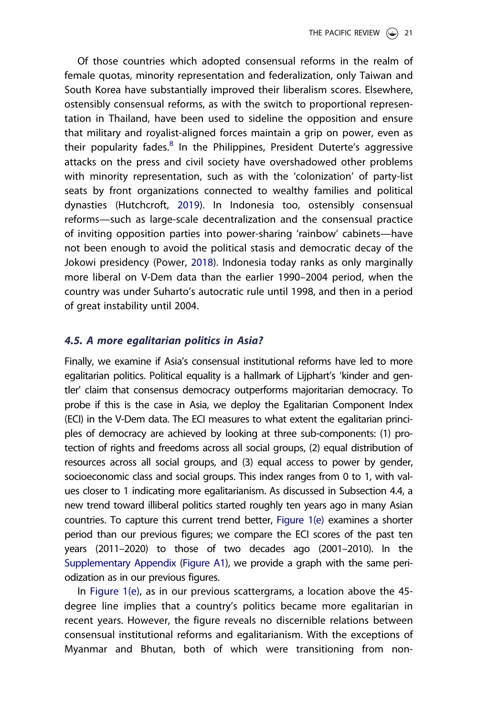<span id="page-21-0"></span>Of those countries which adopted consensual reforms in the realm of female quotas, minority representation and federalization, only Taiwan and South Korea have substantially improved their liberalism scores. Elsewhere, ostensibly consensual reforms, as with the switch to proportional representation in Thailand, have been used to sideline the opposition and ensure that military and royalist-aligned forces maintain a grip on power, even as their popularity fades.<sup>[8](#page-24-0)</sup> In the Philippines, President Duterte's aggressive attacks on the press and civil society have overshadowed other problems with minority representation, such as with the 'colonization' of party-list seats by front organizations connected to wealthy families and political dynasties (Hutchcroft, [2019\)](#page-25-0). In Indonesia too, ostensibly consensual reforms—such as large-scale decentralization and the consensual practice of inviting opposition parties into power-sharing 'rainbow' cabinets—have not been enough to avoid the political stasis and democratic decay of the Jokowi presidency (Power, [2018](#page-26-0)). Indonesia today ranks as only marginally more liberal on V-Dem data than the earlier 1990–2004 period, when the country was under Suharto's autocratic rule until 1998, and then in a period of great instability until 2004.

# 4.5. A more egalitarian politics in Asia?

Finally, we examine if Asia's consensual institutional reforms have led to more egalitarian politics. Political equality is a hallmark of Lijphart's 'kinder and gentler' claim that consensus democracy outperforms majoritarian democracy. To probe if this is the case in Asia, we deploy the Egalitarian Component Index (ECI) in the V-Dem data. The ECI measures to what extent the egalitarian principles of democracy are achieved by looking at three sub-components: (1) protection of rights and freedoms across all social groups, (2) equal distribution of resources across all social groups, and (3) equal access to power by gender, socioeconomic class and social groups. This index ranges from 0 to 1, with values closer to 1 indicating more egalitarianism. As discussed in Subsection 4.4, a new trend toward illiberal politics started roughly ten years ago in many Asian countries. To capture this current trend better, [Figure 1\(e\)](#page-16-0) examines a shorter period than our previous figures; we compare the ECI scores of the past ten years (2011–2020) to those of two decades ago (2001–2010). In the [Supplementary Appendix](https://doi.org/10.1080/09512748.2022.2035426) [\(Figure A1\)](#page-16-0), we provide a graph with the same periodization as in our previous figures.

In [Figure 1\(e\)](#page-16-0), as in our previous scattergrams, a location above the 45 degree line implies that a country's politics became more egalitarian in recent years. However, the figure reveals no discernible relations between consensual institutional reforms and egalitarianism. With the exceptions of Myanmar and Bhutan, both of which were transitioning from non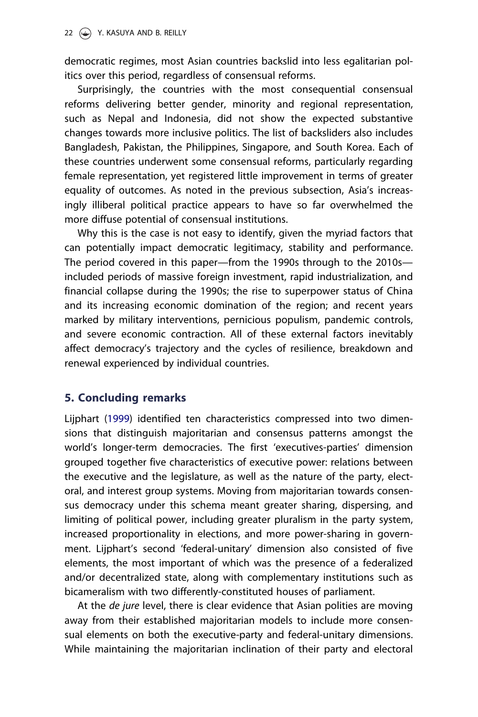democratic regimes, most Asian countries backslid into less egalitarian politics over this period, regardless of consensual reforms.

Surprisingly, the countries with the most consequential consensual reforms delivering better gender, minority and regional representation, such as Nepal and Indonesia, did not show the expected substantive changes towards more inclusive politics. The list of backsliders also includes Bangladesh, Pakistan, the Philippines, Singapore, and South Korea. Each of these countries underwent some consensual reforms, particularly regarding female representation, yet registered little improvement in terms of greater equality of outcomes. As noted in the previous subsection, Asia's increasingly illiberal political practice appears to have so far overwhelmed the more diffuse potential of consensual institutions.

Why this is the case is not easy to identify, given the myriad factors that can potentially impact democratic legitimacy, stability and performance. The period covered in this paper—from the 1990s through to the 2010s included periods of massive foreign investment, rapid industrialization, and financial collapse during the 1990s; the rise to superpower status of China and its increasing economic domination of the region; and recent years marked by military interventions, pernicious populism, pandemic controls, and severe economic contraction. All of these external factors inevitably affect democracy's trajectory and the cycles of resilience, breakdown and renewal experienced by individual countries.

# 5. Concluding remarks

Lijphart [\(1999\)](#page-26-0) identified ten characteristics compressed into two dimensions that distinguish majoritarian and consensus patterns amongst the world's longer-term democracies. The first 'executives-parties' dimension grouped together five characteristics of executive power: relations between the executive and the legislature, as well as the nature of the party, electoral, and interest group systems. Moving from majoritarian towards consensus democracy under this schema meant greater sharing, dispersing, and limiting of political power, including greater pluralism in the party system, increased proportionality in elections, and more power-sharing in government. Lijphart's second 'federal-unitary' dimension also consisted of five elements, the most important of which was the presence of a federalized and/or decentralized state, along with complementary institutions such as bicameralism with two differently-constituted houses of parliament.

At the *de jure* level, there is clear evidence that Asian polities are moving away from their established majoritarian models to include more consensual elements on both the executive-party and federal-unitary dimensions. While maintaining the majoritarian inclination of their party and electoral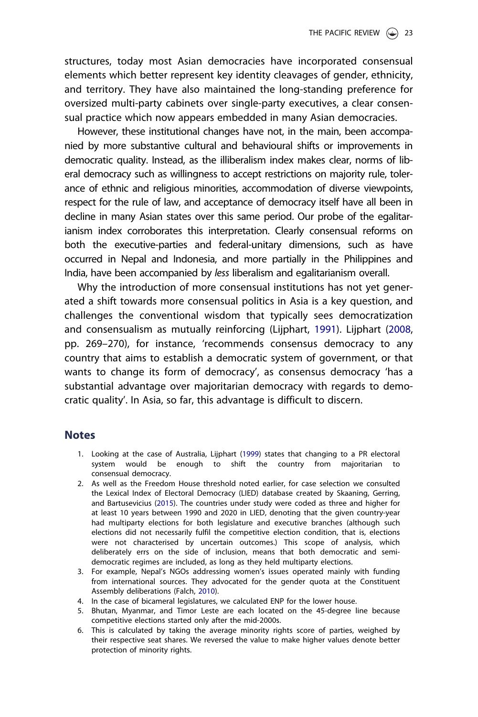<span id="page-23-0"></span>structures, today most Asian democracies have incorporated consensual elements which better represent key identity cleavages of gender, ethnicity, and territory. They have also maintained the long-standing preference for oversized multi-party cabinets over single-party executives, a clear consensual practice which now appears embedded in many Asian democracies.

However, these institutional changes have not, in the main, been accompanied by more substantive cultural and behavioural shifts or improvements in democratic quality. Instead, as the illiberalism index makes clear, norms of liberal democracy such as willingness to accept restrictions on majority rule, tolerance of ethnic and religious minorities, accommodation of diverse viewpoints, respect for the rule of law, and acceptance of democracy itself have all been in decline in many Asian states over this same period. Our probe of the egalitarianism index corroborates this interpretation. Clearly consensual reforms on both the executive-parties and federal-unitary dimensions, such as have occurred in Nepal and Indonesia, and more partially in the Philippines and India, have been accompanied by less liberalism and egalitarianism overall.

Why the introduction of more consensual institutions has not yet generated a shift towards more consensual politics in Asia is a key question, and challenges the conventional wisdom that typically sees democratization and consensualism as mutually reinforcing (Lijphart, [1991](#page-26-0)). Lijphart ([2008](#page-26-0), pp. 269–270), for instance, 'recommends consensus democracy to any country that aims to establish a democratic system of government, or that wants to change its form of democracy', as consensus democracy 'has a substantial advantage over majoritarian democracy with regards to democratic quality'. In Asia, so far, this advantage is difficult to discern.

#### **Notes**

- [1.](#page-2-0) Looking at the case of Australia, Lijphart [\(1999\)](#page-26-0) states that changing to a PR electoral system would be enough to shift the country from majoritarian to consensual democracy.
- [2.](#page-7-0) As well as the Freedom House threshold noted earlier, for case selection we consulted the Lexical Index of Electoral Democracy (LIED) database created by Skaaning, Gerring, and Bartusevicius [\(2015\)](#page-27-0). The countries under study were coded as three and higher for at least 10 years between 1990 and 2020 in LIED, denoting that the given country-year had multiparty elections for both legislature and executive branches (although such elections did not necessarily fulfil the competitive election condition, that is, elections were not characterised by uncertain outcomes.) This scope of analysis, which deliberately errs on the side of inclusion, means that both democratic and semidemocratic regimes are included, as long as they held multiparty elections.
- [3.](#page-8-0) For example, Nepal's NGOs addressing women's issues operated mainly with funding from international sources. They advocated for the gender quota at the Constituent Assembly deliberations (Falch, [2010\)](#page-25-0).
- [4.](#page-16-0) In the case of bicameral legislatures, we calculated ENP for the lower house.
- [5.](#page-17-0) Bhutan, Myanmar, and Timor Leste are each located on the 45-degree line because competitive elections started only after the mid-2000s.
- [6.](#page-18-0) This is calculated by taking the average minority rights score of parties, weighed by their respective seat shares. We reversed the value to make higher values denote better protection of minority rights.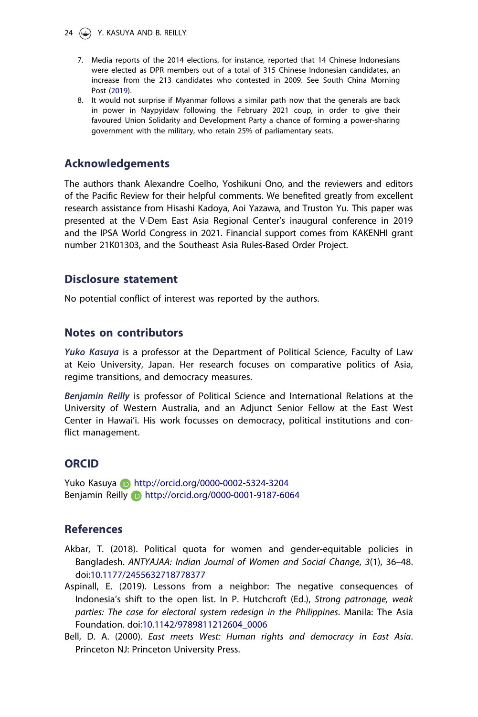<span id="page-24-0"></span>24  $\left(\rightarrow\right)$  Y. KASUYA AND B. REILLY

- [7.](#page-20-0) Media reports of the 2014 elections, for instance, reported that 14 Chinese Indonesians were elected as DPR members out of a total of 315 Chinese Indonesian candidates, an increase from the 213 candidates who contested in 2009. See South China Morning Post ([2019](#page-27-0)).
- [8.](#page-21-0) It would not surprise if Myanmar follows a similar path now that the generals are back in power in Naypyidaw following the February 2021 coup, in order to give their favoured Union Solidarity and Development Party a chance of forming a power-sharing government with the military, who retain 25% of parliamentary seats.

## Acknowledgements

The authors thank Alexandre Coelho, Yoshikuni Ono, and the reviewers and editors of the Pacific Review for their helpful comments. We benefited greatly from excellent research assistance from Hisashi Kadoya, Aoi Yazawa, and Truston Yu. This paper was presented at the V-Dem East Asia Regional Center's inaugural conference in 2019 and the IPSA World Congress in 2021. Financial support comes from KAKENHI grant number 21K01303, and the Southeast Asia Rules-Based Order Project.

#### Disclosure statement

No potential conflict of interest was reported by the authors.

### Notes on contributors

Yuko Kasuya is a professor at the Department of Political Science, Faculty of Law at Keio University, Japan. Her research focuses on comparative politics of Asia, regime transitions, and democracy measures.

Benjamin Reilly is professor of Political Science and International Relations at the University of Western Australia, and an Adjunct Senior Fellow at the East West Center in Hawai'i. His work focusses on democracy, political institutions and conflict management.

### **ORCID**

Yuko Kasuya **in** http://orcid.org/0000-0002-5324-3204 Benjamin Reilly http://orcid.org/0000-0001-9187-6064

### References

- Akbar, T. ([2018](#page-11-0)). Political quota for women and gender-equitable policies in Bangladesh. ANTYAJAA: Indian Journal of Women and Social Change, 3(1), 36–48. doi:[10.1177/2455632718778377](https://doi.org/10.1177/2455632718778377)
- Aspinall, E. ([2019](#page-5-0)). Lessons from a neighbor: The negative consequences of Indonesia's shift to the open list. In P. Hutchcroft (Ed.), Strong patronage, weak parties: The case for electoral system redesign in the Philippines. Manila: The Asia Foundation. doi:[10.1142/9789811212604\\_0006](https://doi.org/10.1142/9789811212604_0006)
- Bell, D. A. [\(2000\)](#page-3-0). East meets West: Human rights and democracy in East Asia. Princeton NJ: Princeton University Press.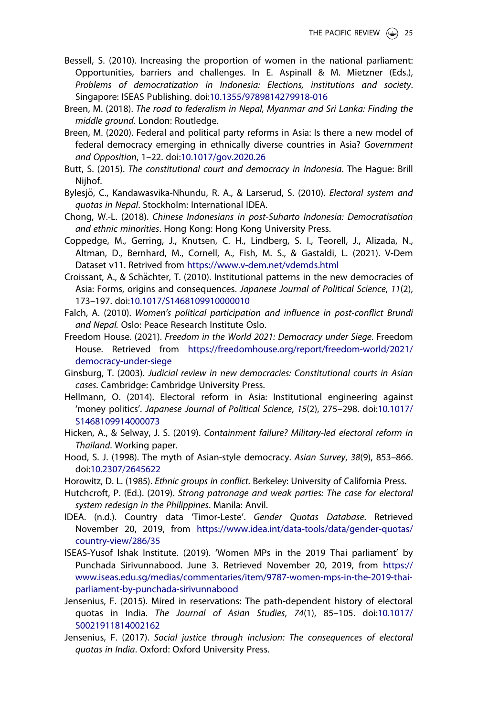- <span id="page-25-0"></span>Bessell, S. [\(2010\)](#page-11-0). Increasing the proportion of women in the national parliament: Opportunities, barriers and challenges. In E. Aspinall & M. Mietzner (Eds.), Problems of democratization in Indonesia: Elections, institutions and society. Singapore: ISEAS Publishing. doi[:10.1355/9789814279918-016](https://doi.org/10.1355/9789814279918-016)
- Breen, M. [\(2018\)](#page-2-0). The road to federalism in Nepal, Myanmar and Sri Lanka: Finding the middle ground. London: Routledge.
- Breen, M. ([2020](#page-5-0)). Federal and political party reforms in Asia: Is there a new model of federal democracy emerging in ethnically diverse countries in Asia? Government and Opposition, 1–22. doi:[10.1017/gov.2020.26](https://doi.org/10.1017/gov.2020.26)
- Butt, S. ([2015](#page-9-0)). The constitutional court and democracy in Indonesia. The Hague: Brill Nijhof.
- Bylesjö, C., Kandawasvika-Nhundu, R. A., & Larserud, S. ([2010](#page-10-0)). Electoral system and quotas in Nepal. Stockholm: International IDEA.
- Chong, W.-L. ([2018](#page-20-0)). Chinese Indonesians in post-Suharto Indonesia: Democratisation and ethnic minorities. Hong Kong: Hong Kong University Press.
- Coppedge, M., Gerring, J., Knutsen, C. H., Lindberg, S. I., Teorell, J., Alizada, N., Altman, D., Bernhard, M., Cornell, A., Fish, M. S., & Gastaldi, L. [\(2021\)](#page-3-0). V-Dem Dataset v11. Retrived from <https://www.v-dem.net/vdemds.html>
- Croissant, A., & Schächter, T. ([2010](#page-3-0)). Institutional patterns in the new democracies of Asia: Forms, origins and consequences. Japanese Journal of Political Science, 11(2), 173–197. doi[:10.1017/S1468109910000010](https://doi.org/10.1017/S1468109910000010)
- Falch, A. ([2010](#page-23-0)). Women's political participation and influence in post-conflict Brundi and Nepal. Oslo: Peace Research Institute Oslo.
- Freedom House. [\(2021\)](#page-3-0). Freedom in the World 2021: Democracy under Siege. Freedom House. Retrieved from [https://freedomhouse.org/report/freedom-world/2021/](https://freedomhouse.org/report/freedom-world/2021/democracy-under-siege) [democracy-under-siege](https://freedomhouse.org/report/freedom-world/2021/democracy-under-siege)
- Ginsburg, T. [\(2003\)](#page-7-0). Judicial review in new democracies: Constitutional courts in Asian cases. Cambridge: Cambridge University Press.
- Hellmann, O. ([2014](#page-3-0)). Electoral reform in Asia: Institutional engineering against 'money politics'. Japanese Journal of Political Science, 15(2), 275–298. doi:[10.1017/](https://doi.org/10.1017/S1468109914000073) [S1468109914000073](https://doi.org/10.1017/S1468109914000073)
- Hicken, A., & Selway, J. S. ([2019](#page-9-0)). Containment failure? Military-led electoral reform in Thailand. Working paper.
- Hood, S. J. ([1998](#page-3-0)). The myth of Asian-style democracy. Asian Survey, 38(9), 853–866. doi:[10.2307/2645622](https://doi.org/10.2307/2645622)
- Horowitz, D. L. ([1985\)](#page-14-0). Ethnic groups in conflict. Berkeley: University of California Press.
- Hutchcroft, P. (Ed.). ([2019](#page-21-0)). Strong patronage and weak parties: The case for electoral system redesign in the Philippines. Manila: Anvil.
- IDEA. ([n.d.\)](#page-11-0). Country data 'Timor-Leste'. Gender Quotas Database. Retrieved November 20, 2019, from [https://www.idea.int/data-tools/data/gender-quotas/](https://www.idea.int/data-tools/data/gender-quotas/country-view/286/35) [country-view/286/35](https://www.idea.int/data-tools/data/gender-quotas/country-view/286/35)
- ISEAS-Yusof Ishak Institute. [\(2019\)](#page-11-0). 'Women MPs in the 2019 Thai parliament' by Punchada Sirivunnabood. June 3. Retrieved November 20, 2019, from [https://](https://www.iseas.edu.sg/medias/commentaries/item/9787-women-mps-in-the-2019-thai-parliament-by-punchada-sirivunnabood) [www.iseas.edu.sg/medias/commentaries/item/9787-women-mps-in-the-2019-thai](https://www.iseas.edu.sg/medias/commentaries/item/9787-women-mps-in-the-2019-thai-parliament-by-punchada-sirivunnabood)[parliament-by-punchada-sirivunnabood](https://www.iseas.edu.sg/medias/commentaries/item/9787-women-mps-in-the-2019-thai-parliament-by-punchada-sirivunnabood)
- Jensenius, F. ([2015](#page-14-0)). Mired in reservations: The path-dependent history of electoral quotas in India. The Journal of Asian Studies, 74(1), 85–105. doi:[10.1017/](https://doi.org/10.1017/S0021911814002162) [S0021911814002162](https://doi.org/10.1017/S0021911814002162)
- Jensenius, F. [\(2017\)](#page-14-0). Social justice through inclusion: The consequences of electoral quotas in India. Oxford: Oxford University Press.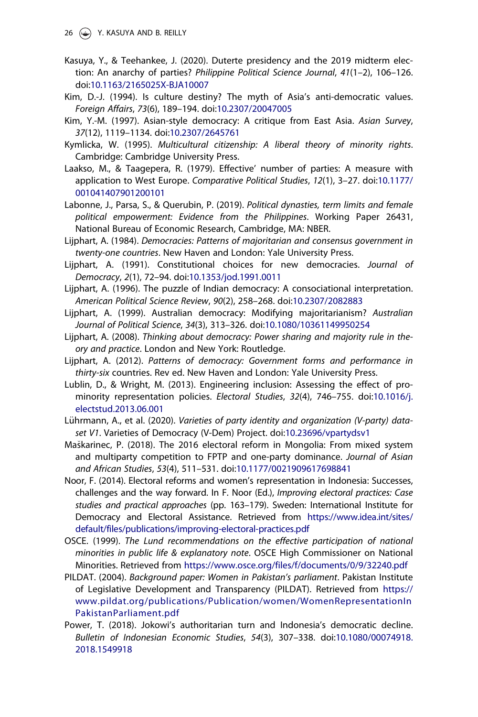<span id="page-26-0"></span>26  $\circ$  Y. KASUYA AND B. REILLY

- Kasuya, Y., & Teehankee, J. ([2020](#page-17-0)). Duterte presidency and the 2019 midterm election: An anarchy of parties? Philippine Political Science Journal, 41(1–2), 106–126. doi:[10.1163/2165025X-BJA10007](https://doi.org/10.1163/2165025X-BJA10007)
- Kim, D.-J. [\(1994\)](#page-3-0). Is culture destiny? The myth of Asia's anti-democratic values. Foreign Affairs, 73(6), 189–194. doi:[10.2307/20047005](https://doi.org/10.2307/20047005)
- Kim, Y.-M. ([1997](#page-3-0)). Asian-style democracy: A critique from East Asia. Asian Survey, 37(12), 1119–1134. doi[:10.2307/2645761](https://doi.org/10.2307/2645761)
- Kymlicka, W. [\(1995\)](#page-14-0). Multicultural citizenship: A liberal theory of minority rights. Cambridge: Cambridge University Press.
- Laakso, M., & Taagepera, R. ([1979](#page-16-0)). Effective' number of parties: A measure with application to West Europe. Comparative Political Studies, 12(1), 3–27. doi:[10.1177/](https://doi.org/10.1177/001041407901200101) [001041407901200101](https://doi.org/10.1177/001041407901200101)
- Labonne, J., Parsa, S., & Querubin, P. [\(2019\)](#page-18-0). Political dynasties, term limits and female political empowerment: Evidence from the Philippines. Working Paper 26431, National Bureau of Economic Research, Cambridge, MA: NBER.
- Lijphart, A. ([1984](#page-3-0)). Democracies: Patterns of majoritarian and consensus government in twenty-one countries. New Haven and London: Yale University Press.
- Lijphart, A. [\(1991\)](#page-23-0). Constitutional choices for new democracies. Journal of Democracy, 2(1), 72–94. doi[:10.1353/jod.1991.0011](https://doi.org/10.1353/jod.1991.0011)
- Lijphart, A. ([1996](#page-20-0)). The puzzle of Indian democracy: A consociational interpretation. American Political Science Review, 90(2), 258–268. doi:[10.2307/2082883](https://doi.org/10.2307/2082883)
- Lijphart, A. ([1999](#page-2-0)). Australian democracy: Modifying majoritarianism? Australian Journal of Political Science, 34(3), 313–326. doi[:10.1080/10361149950254](https://doi.org/10.1080/10361149950254)
- Lijphart, A. [\(2008\)](#page-23-0). Thinking about democracy: Power sharing and majority rule in theory and practice. London and New York: Routledge.
- Lijphart, A. ([2012](#page-3-0)). Patterns of democracy: Government forms and performance in thirty-six countries. Rev ed. New Haven and London: Yale University Press.
- Lublin, D., & Wright, M. [\(2013\)](#page-12-0). Engineering inclusion: Assessing the effect of prominority representation policies. Electoral Studies, 32(4), 746–755. doi:[10.1016/j.](https://doi.org/10.1016/j.electstud.2013.06.001) [electstud.2013.06.001](https://doi.org/10.1016/j.electstud.2013.06.001)
- Lührmann, A., et al. ([2020](#page-16-0)). Varieties of party identity and organization (V-party) dataset V1. Varieties of Democracy (V-Dem) Project. doi[:10.23696/vpartydsv1](https://doi.org/10.23696/vpartydsv1)
- Maškarinec, P. ([2018](#page-10-0)). The 2016 electoral reform in Mongolia: From mixed system and multiparty competition to FPTP and one-party dominance. Journal of Asian and African Studies, 53(4), 511–531. doi:[10.1177/0021909617698841](https://doi.org/10.1177/0021909617698841)
- Noor, F. [\(2014](#page-7-0)). Electoral reforms and women's representation in Indonesia: Successes, challenges and the way forward. In F. Noor (Ed.), Improving electoral practices: Case studies and practical approaches (pp. 163–179). Sweden: International Institute for Democracy and Electoral Assistance. Retrieved from [https://www.idea.int/sites/](https://www.idea.int/sites/default/files/publications/improving-electoral-practices.pdf) [default/files/publications/improving-electoral-practices.pdf](https://www.idea.int/sites/default/files/publications/improving-electoral-practices.pdf)
- OSCE. ([1999](#page-7-0)). The Lund recommendations on the effective participation of national minorities in public life & explanatory note. OSCE High Commissioner on National Minorities. Retrieved from <https://www.osce.org/files/f/documents/0/9/32240.pdf>
- PILDAT. [\(2004\)](#page-11-0). Background paper: Women in Pakistan's parliament. Pakistan Institute of Legislative Development and Transparency (PILDAT). Retrieved from [https://](https://www.pildat.org/publications/Publication/women/WomenRepresentationInPakistanParliament.pdf) [www.pildat.org/publications/Publication/women/WomenRepresentationIn](https://www.pildat.org/publications/Publication/women/WomenRepresentationInPakistanParliament.pdf) [PakistanParliament.pdf](https://www.pildat.org/publications/Publication/women/WomenRepresentationInPakistanParliament.pdf)
- Power, T. [\(2018\)](#page-21-0). Jokowi's authoritarian turn and Indonesia's democratic decline. Bulletin of Indonesian Economic Studies, 54(3), 307–338. doi:[10.1080/00074918.](https://doi.org/10.1080/00074918.2018.1549918) [2018.1549918](https://doi.org/10.1080/00074918.2018.1549918)